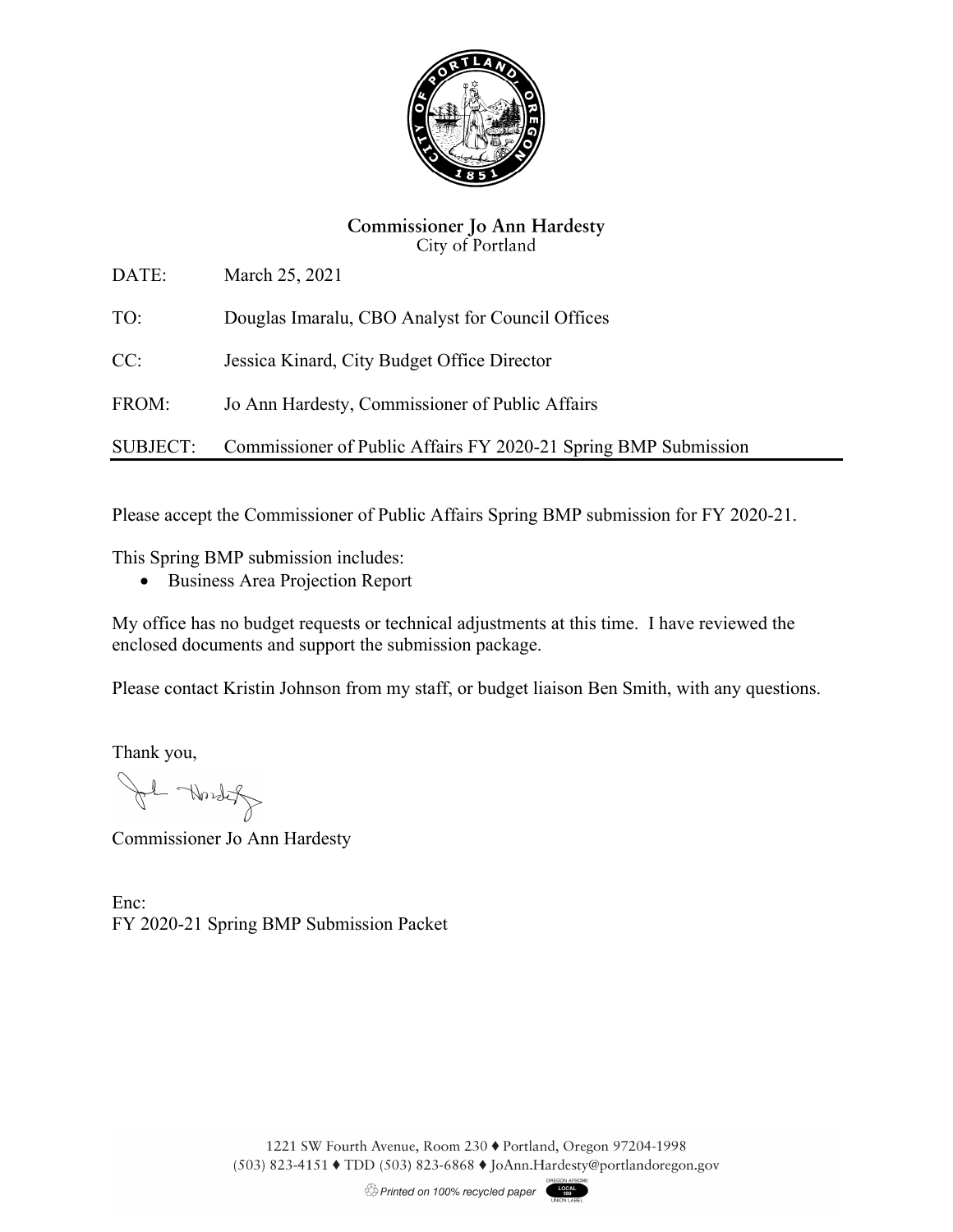

## **Commissioner Jo Ann Hardesty** City of Portland

DATE: March 25, 2021

TO: Douglas Imaralu, CBO Analyst for Council Offices

CC: Jessica Kinard, City Budget Office Director

FROM: Jo Ann Hardesty, Commissioner of Public Affairs

SUBJECT: Commissioner of Public Affairs FY 2020-21 Spring BMP Submission

Please accept the Commissioner of Public Affairs Spring BMP submission for FY 2020-21.

This Spring BMP submission includes:

Business Area Projection Report

My office has no budget requests or technical adjustments at this time. I have reviewed the enclosed documents and support the submission package.

Please contact Kristin Johnson from my staff, or budget liaison Ben Smith, with any questions.

Thank you,

1 Nordet

Commissioner Jo Ann Hardesty

Enc: FY 2020-21 Spring BMP Submission Packet